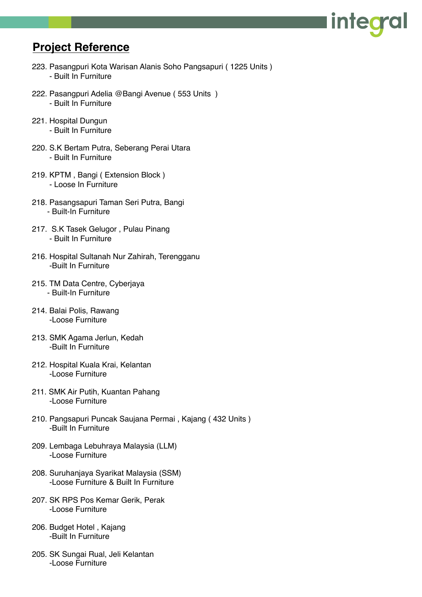## **Project Reference**

223. Pasangpuri Kota Warisan Alanis Soho Pangsapuri ( 1225 Units ) - Built In Furniture

inteo

- 222. Pasangpuri Adelia @Bangi Avenue ( 553 Units ) - Built In Furniture
- 221. Hospital Dungun - Built In Furniture
- 220. S.K Bertam Putra, Seberang Perai Utara - Built In Furniture
- 219. KPTM , Bangi ( Extension Block ) - Loose In Furniture
- 218. Pasangsapuri Taman Seri Putra, Bangi - Built-In Furniture
- 217. S.K Tasek Gelugor , Pulau Pinang - Built In Furniture
- 216. Hospital Sultanah Nur Zahirah, Terengganu -Built In Furniture
- 215. TM Data Centre, Cyberjaya - Built-In Furniture
- 214. Balai Polis, Rawang -Loose Furniture
- 213. SMK Agama Jerlun, Kedah -Built In Furniture
- 212. Hospital Kuala Krai, Kelantan -Loose Furniture
- 211. SMK Air Putih, Kuantan Pahang -Loose Furniture
- 210. Pangsapuri Puncak Saujana Permai , Kajang ( 432 Units ) -Built In Furniture
- 209. Lembaga Lebuhraya Malaysia (LLM) -Loose Furniture
- 208. Suruhanjaya Syarikat Malaysia (SSM) -Loose Furniture & Built In Furniture
- 207. SK RPS Pos Kemar Gerik, Perak -Loose Furniture
- 206. Budget Hotel , Kajang -Built In Furniture
- 205. SK Sungai Rual, Jeli Kelantan -Loose Furniture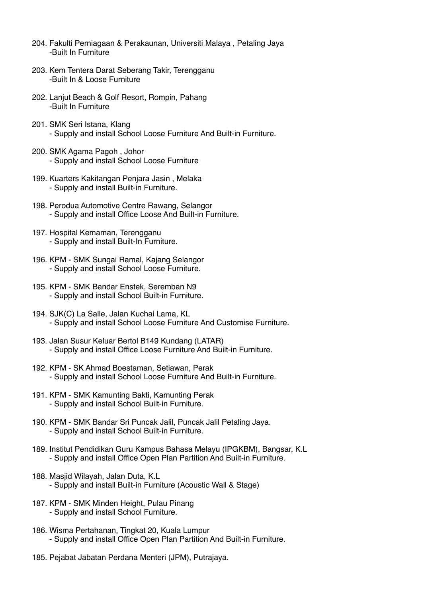- 204. Fakulti Perniagaan & Perakaunan, Universiti Malaya , Petaling Jaya -Built In Furniture
- 203. Kem Tentera Darat Seberang Takir, Terengganu -Built In & Loose Furniture
- 202. Lanjut Beach & Golf Resort, Rompin, Pahang -Built In Furniture
- 201. SMK Seri Istana, Klang - Supply and install School Loose Furniture And Built-in Furniture.
- 200. SMK Agama Pagoh , Johor - Supply and install School Loose Furniture
- 199. Kuarters Kakitangan Penjara Jasin , Melaka - Supply and install Built-in Furniture.
- 198. Perodua Automotive Centre Rawang, Selangor - Supply and install Office Loose And Built-in Furniture.
- 197. Hospital Kemaman, Terengganu - Supply and install Built-In Furniture.
- 196. KPM SMK Sungai Ramal, Kajang Selangor - Supply and install School Loose Furniture.
- 195. KPM SMK Bandar Enstek, Seremban N9 - Supply and install School Built-in Furniture.
- 194. SJK(C) La Salle, Jalan Kuchai Lama, KL - Supply and install School Loose Furniture And Customise Furniture.
- 193. Jalan Susur Keluar Bertol B149 Kundang (LATAR) - Supply and install Office Loose Furniture And Built-in Furniture.
- 192. KPM SK Ahmad Boestaman, Setiawan, Perak - Supply and install School Loose Furniture And Built-in Furniture.
- 191. KPM SMK Kamunting Bakti, Kamunting Perak - Supply and install School Built-in Furniture.
- 190. KPM SMK Bandar Sri Puncak Jalil, Puncak Jalil Petaling Jaya. - Supply and install School Built-in Furniture.
- 189. Institut Pendidikan Guru Kampus Bahasa Melayu (IPGKBM), Bangsar, K.L - Supply and install Office Open Plan Partition And Built-in Furniture.
- 188. Masjid Wilayah, Jalan Duta, K.L - Supply and install Built-in Furniture (Acoustic Wall & Stage)
- 187. KPM SMK Minden Height, Pulau Pinang - Supply and install School Furniture.
- 186. Wisma Pertahanan, Tingkat 20, Kuala Lumpur - Supply and install Office Open Plan Partition And Built-in Furniture.
- 185. Pejabat Jabatan Perdana Menteri (JPM), Putrajaya.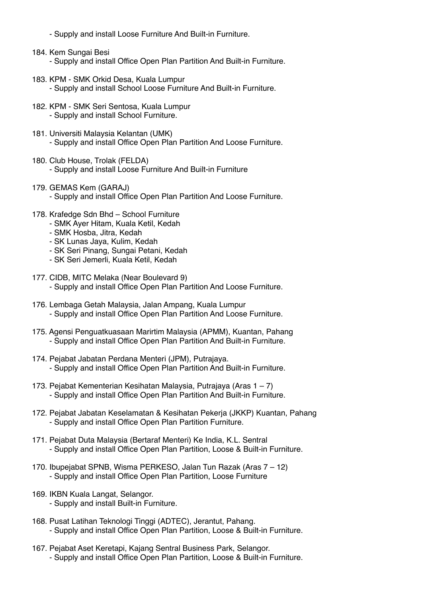- Supply and install Loose Furniture And Built-in Furniture.
- 184. Kem Sungai Besi - Supply and install Office Open Plan Partition And Built-in Furniture.
- 183. KPM SMK Orkid Desa, Kuala Lumpur - Supply and install School Loose Furniture And Built-in Furniture.
- 182. KPM SMK Seri Sentosa, Kuala Lumpur - Supply and install School Furniture.
- 181. Universiti Malaysia Kelantan (UMK) - Supply and install Office Open Plan Partition And Loose Furniture.
- 180. Club House, Trolak (FELDA) - Supply and install Loose Furniture And Built-in Furniture
- 179. GEMAS Kem (GARAJ) - Supply and install Office Open Plan Partition And Loose Furniture.
- 178. Krafedge Sdn Bhd School Furniture
	- SMK Ayer Hitam, Kuala Ketil, Kedah
	- SMK Hosba, Jitra, Kedah
	- SK Lunas Jaya, Kulim, Kedah
	- SK Seri Pinang, Sungai Petani, Kedah
	- SK Seri Jemerli, Kuala Ketil, Kedah
- 177. CIDB, MITC Melaka (Near Boulevard 9) - Supply and install Office Open Plan Partition And Loose Furniture.
- 176. Lembaga Getah Malaysia, Jalan Ampang, Kuala Lumpur - Supply and install Office Open Plan Partition And Loose Furniture.
- 175. Agensi Penguatkuasaan Marirtim Malaysia (APMM), Kuantan, Pahang - Supply and install Office Open Plan Partition And Built-in Furniture.
- 174. Pejabat Jabatan Perdana Menteri (JPM), Putrajaya. - Supply and install Office Open Plan Partition And Built-in Furniture.
- 173. Pejabat Kementerian Kesihatan Malaysia, Putrajaya (Aras 1 7) - Supply and install Office Open Plan Partition And Built-in Furniture.
- 172. Pejabat Jabatan Keselamatan & Kesihatan Pekerja (JKKP) Kuantan, Pahang - Supply and install Office Open Plan Partition Furniture.
- 171. Pejabat Duta Malaysia (Bertaraf Menteri) Ke India, K.L. Sentral - Supply and install Office Open Plan Partition, Loose & Built-in Furniture.
- 170. Ibupejabat SPNB, Wisma PERKESO, Jalan Tun Razak (Aras 7 12) - Supply and install Office Open Plan Partition, Loose Furniture
- 169. IKBN Kuala Langat, Selangor.
	- Supply and install Built-in Furniture.
- 168. Pusat Latihan Teknologi Tinggi (ADTEC), Jerantut, Pahang. - Supply and install Office Open Plan Partition, Loose & Built-in Furniture.
- 167. Pejabat Aset Keretapi, Kajang Sentral Business Park, Selangor. - Supply and install Office Open Plan Partition, Loose & Built-in Furniture.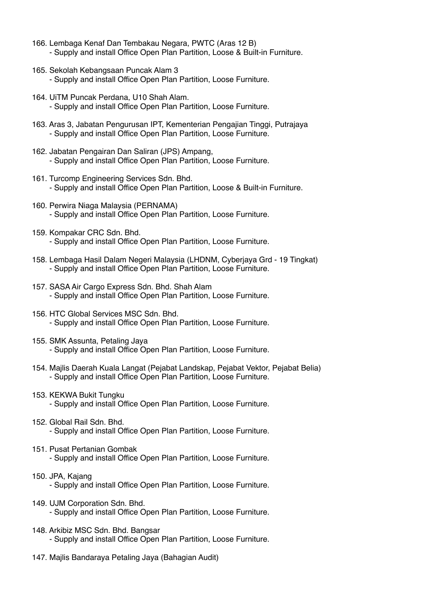- 166. Lembaga Kenaf Dan Tembakau Negara, PWTC (Aras 12 B) - Supply and install Office Open Plan Partition, Loose & Built-in Furniture.
- 165. Sekolah Kebangsaan Puncak Alam 3 - Supply and install Office Open Plan Partition, Loose Furniture.
- 164. UiTM Puncak Perdana, U10 Shah Alam.
	- Supply and install Office Open Plan Partition, Loose Furniture.
- 163. Aras 3, Jabatan Pengurusan IPT, Kementerian Pengajian Tinggi, Putrajaya - Supply and install Office Open Plan Partition, Loose Furniture.
- 162. Jabatan Pengairan Dan Saliran (JPS) Ampang, - Supply and install Office Open Plan Partition, Loose Furniture.
- 161. Turcomp Engineering Services Sdn. Bhd. - Supply and install Office Open Plan Partition, Loose & Built-in Furniture.
- 160. Perwira Niaga Malaysia (PERNAMA) - Supply and install Office Open Plan Partition, Loose Furniture.
- 159. Kompakar CRC Sdn. Bhd.
	- Supply and install Office Open Plan Partition, Loose Furniture.
- 158. Lembaga Hasil Dalam Negeri Malaysia (LHDNM, Cyberjaya Grd 19 Tingkat) - Supply and install Office Open Plan Partition, Loose Furniture.
- 157. SASA Air Cargo Express Sdn. Bhd. Shah Alam - Supply and install Office Open Plan Partition, Loose Furniture.
- 156. HTC Global Services MSC Sdn. Bhd. - Supply and install Office Open Plan Partition, Loose Furniture.
- 155. SMK Assunta, Petaling Jaya
	- Supply and install Office Open Plan Partition, Loose Furniture.
- 154. Majlis Daerah Kuala Langat (Pejabat Landskap, Pejabat Vektor, Pejabat Belia) - Supply and install Office Open Plan Partition, Loose Furniture.
- 153. KEKWA Bukit Tungku
	- Supply and install Office Open Plan Partition, Loose Furniture.
- 152. Global Rail Sdn. Bhd.
	- Supply and install Office Open Plan Partition, Loose Furniture.
- 151. Pusat Pertanian Gombak
	- Supply and install Office Open Plan Partition, Loose Furniture.
- 150. JPA, Kajang
	- Supply and install Office Open Plan Partition, Loose Furniture.
- 149. UJM Corporation Sdn. Bhd.
	- Supply and install Office Open Plan Partition, Loose Furniture.
- 148. Arkibiz MSC Sdn. Bhd. Bangsar
	- Supply and install Office Open Plan Partition, Loose Furniture.
- 147. Majlis Bandaraya Petaling Jaya (Bahagian Audit)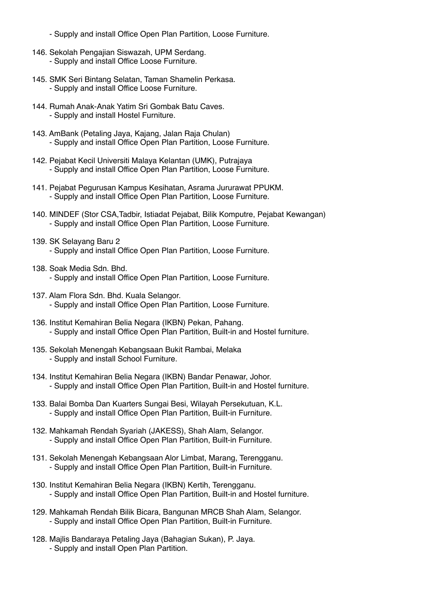- Supply and install Office Open Plan Partition, Loose Furniture.
- 146. Sekolah Pengajian Siswazah, UPM Serdang. - Supply and install Office Loose Furniture.
- 145. SMK Seri Bintang Selatan, Taman Shamelin Perkasa. - Supply and install Office Loose Furniture.
- 144. Rumah Anak-Anak Yatim Sri Gombak Batu Caves. - Supply and install Hostel Furniture.
- 143. AmBank (Petaling Jaya, Kajang, Jalan Raja Chulan) - Supply and install Office Open Plan Partition, Loose Furniture.
- 142. Pejabat Kecil Universiti Malaya Kelantan (UMK), Putrajaya - Supply and install Office Open Plan Partition, Loose Furniture.
- 141. Pejabat Pegurusan Kampus Kesihatan, Asrama Jururawat PPUKM. - Supply and install Office Open Plan Partition, Loose Furniture.
- 140. MINDEF (Stor CSA,Tadbir, Istiadat Pejabat, Bilik Komputre, Pejabat Kewangan) - Supply and install Office Open Plan Partition, Loose Furniture.
- 139. SK Selayang Baru 2 - Supply and install Office Open Plan Partition, Loose Furniture.
- 138. Soak Media Sdn. Bhd. - Supply and install Office Open Plan Partition, Loose Furniture.
- 137. Alam Flora Sdn. Bhd. Kuala Selangor. - Supply and install Office Open Plan Partition, Loose Furniture.
- 136. Institut Kemahiran Belia Negara (IKBN) Pekan, Pahang. - Supply and install Office Open Plan Partition, Built-in and Hostel furniture.
- 135. Sekolah Menengah Kebangsaan Bukit Rambai, Melaka - Supply and install School Furniture.
- 134. Institut Kemahiran Belia Negara (IKBN) Bandar Penawar, Johor. - Supply and install Office Open Plan Partition, Built-in and Hostel furniture.
- 133. Balai Bomba Dan Kuarters Sungai Besi, Wilayah Persekutuan, K.L. - Supply and install Office Open Plan Partition, Built-in Furniture.
- 132. Mahkamah Rendah Syariah (JAKESS), Shah Alam, Selangor. - Supply and install Office Open Plan Partition, Built-in Furniture.
- 131. Sekolah Menengah Kebangsaan Alor Limbat, Marang, Terengganu. - Supply and install Office Open Plan Partition, Built-in Furniture.
- 130. Institut Kemahiran Belia Negara (IKBN) Kertih, Terengganu. - Supply and install Office Open Plan Partition, Built-in and Hostel furniture.
- 129. Mahkamah Rendah Bilik Bicara, Bangunan MRCB Shah Alam, Selangor. - Supply and install Office Open Plan Partition, Built-in Furniture.
- 128. Majlis Bandaraya Petaling Jaya (Bahagian Sukan), P. Jaya. - Supply and install Open Plan Partition.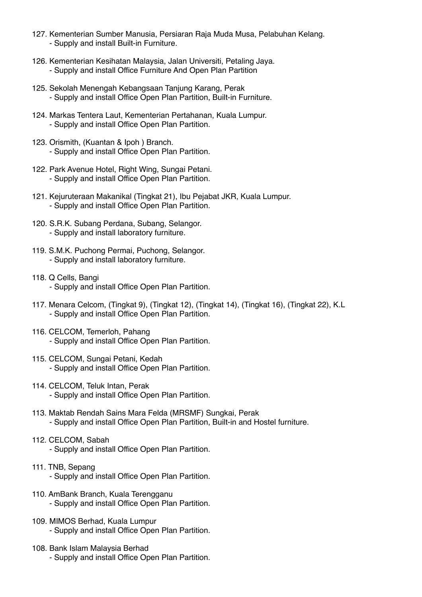- 127. Kementerian Sumber Manusia, Persiaran Raja Muda Musa, Pelabuhan Kelang. - Supply and install Built-in Furniture.
- 126. Kementerian Kesihatan Malaysia, Jalan Universiti, Petaling Jaya. - Supply and install Office Furniture And Open Plan Partition
- 125. Sekolah Menengah Kebangsaan Tanjung Karang, Perak - Supply and install Office Open Plan Partition, Built-in Furniture.
- 124. Markas Tentera Laut, Kementerian Pertahanan, Kuala Lumpur. - Supply and install Office Open Plan Partition.
- 123. Orismith, (Kuantan & Ipoh ) Branch. - Supply and install Office Open Plan Partition.
- 122. Park Avenue Hotel, Right Wing, Sungai Petani. - Supply and install Office Open Plan Partition.
- 121. Kejuruteraan Makanikal (Tingkat 21), Ibu Pejabat JKR, Kuala Lumpur. - Supply and install Office Open Plan Partition.
- 120. S.R.K. Subang Perdana, Subang, Selangor. - Supply and install laboratory furniture.
- 119. S.M.K. Puchong Permai, Puchong, Selangor. - Supply and install laboratory furniture.
- 118. Q Cells, Bangi - Supply and install Office Open Plan Partition.
- 117. Menara Celcom, (Tingkat 9), (Tingkat 12), (Tingkat 14), (Tingkat 16), (Tingkat 22), K.L - Supply and install Office Open Plan Partition.
- 116. CELCOM, Temerloh, Pahang - Supply and install Office Open Plan Partition.
- 115. CELCOM, Sungai Petani, Kedah - Supply and install Office Open Plan Partition.
- 114. CELCOM, Teluk Intan, Perak - Supply and install Office Open Plan Partition.
- 113. Maktab Rendah Sains Mara Felda (MRSMF) Sungkai, Perak - Supply and install Office Open Plan Partition, Built-in and Hostel furniture.
- 112. CELCOM, Sabah - Supply and install Office Open Plan Partition.
- 111. TNB, Sepang - Supply and install Office Open Plan Partition.
- 110. AmBank Branch, Kuala Terengganu - Supply and install Office Open Plan Partition.
	-
- 109. MIMOS Berhad, Kuala Lumpur - Supply and install Office Open Plan Partition.
- 108. Bank Islam Malaysia Berhad
	- Supply and install Office Open Plan Partition.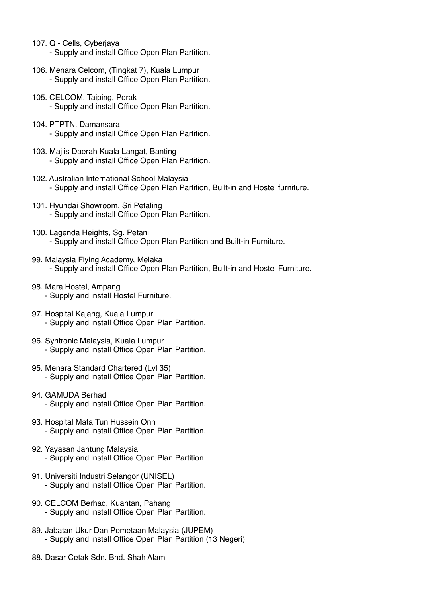- 107. Q Cells, Cyberjaya - Supply and install Office Open Plan Partition.
- 106. Menara Celcom, (Tingkat 7), Kuala Lumpur - Supply and install Office Open Plan Partition.
- 105. CELCOM, Taiping, Perak - Supply and install Office Open Plan Partition.
- 104. PTPTN, Damansara - Supply and install Office Open Plan Partition.
- 103. Majlis Daerah Kuala Langat, Banting - Supply and install Office Open Plan Partition.
- 102. Australian International School Malaysia - Supply and install Office Open Plan Partition, Built-in and Hostel furniture.
- 101. Hyundai Showroom, Sri Petaling - Supply and install Office Open Plan Partition.
- 100. Lagenda Heights, Sg. Petani - Supply and install Office Open Plan Partition and Built-in Furniture.
- 99. Malaysia Flying Academy, Melaka - Supply and install Office Open Plan Partition, Built-in and Hostel Furniture.
- 98. Mara Hostel, Ampang - Supply and install Hostel Furniture.
- 97. Hospital Kajang, Kuala Lumpur - Supply and install Office Open Plan Partition.
- 96. Syntronic Malaysia, Kuala Lumpur - Supply and install Office Open Plan Partition.
- 95. Menara Standard Chartered (Lvl 35) - Supply and install Office Open Plan Partition.
- 94. GAMUDA Berhad - Supply and install Office Open Plan Partition.
- 93. Hospital Mata Tun Hussein Onn - Supply and install Office Open Plan Partition.
- 92. Yayasan Jantung Malaysia - Supply and install Office Open Plan Partition
- 91. Universiti Industri Selangor (UNISEL) - Supply and install Office Open Plan Partition.
- 90. CELCOM Berhad, Kuantan, Pahang - Supply and install Office Open Plan Partition.
- 89. Jabatan Ukur Dan Pemetaan Malaysia (JUPEM) - Supply and install Office Open Plan Partition (13 Negeri)
- 88. Dasar Cetak Sdn. Bhd. Shah Alam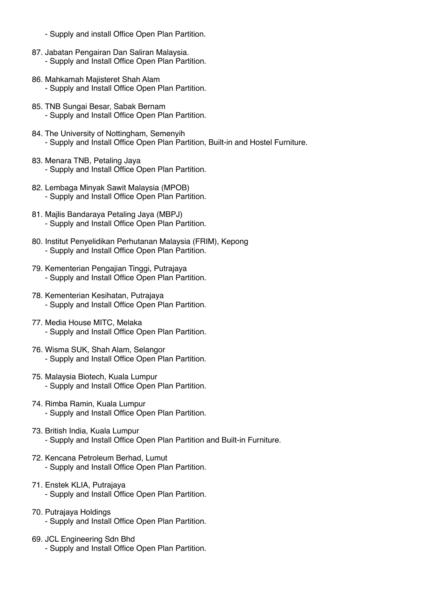- Supply and install Office Open Plan Partition.
- 87. Jabatan Pengairan Dan Saliran Malaysia. - Supply and Install Office Open Plan Partition.
- 86. Mahkamah Majisteret Shah Alam - Supply and Install Office Open Plan Partition.
- 85. TNB Sungai Besar, Sabak Bernam - Supply and Install Office Open Plan Partition.
- 84. The University of Nottingham, Semenyih - Supply and Install Office Open Plan Partition, Built-in and Hostel Furniture.
- 83. Menara TNB, Petaling Jaya - Supply and Install Office Open Plan Partition.
- 82. Lembaga Minyak Sawit Malaysia (MPOB) - Supply and Install Office Open Plan Partition.
- 81. Majlis Bandaraya Petaling Jaya (MBPJ) - Supply and Install Office Open Plan Partition.
- 80. Institut Penyelidikan Perhutanan Malaysia (FRIM), Kepong - Supply and Install Office Open Plan Partition.
- 79. Kementerian Pengajian Tinggi, Putrajaya - Supply and Install Office Open Plan Partition.
- 78. Kementerian Kesihatan, Putrajaya - Supply and Install Office Open Plan Partition.
- 77. Media House MITC, Melaka - Supply and Install Office Open Plan Partition.
- 76. Wisma SUK, Shah Alam, Selangor - Supply and Install Office Open Plan Partition.
- 75. Malaysia Biotech, Kuala Lumpur - Supply and Install Office Open Plan Partition.
- 74. Rimba Ramin, Kuala Lumpur - Supply and Install Office Open Plan Partition.
- 73. British India, Kuala Lumpur - Supply and Install Office Open Plan Partition and Built-in Furniture.
- 72. Kencana Petroleum Berhad, Lumut - Supply and Install Office Open Plan Partition.
- 71. Enstek KLIA, Putrajaya - Supply and Install Office Open Plan Partition.
- 70. Putrajaya Holdings - Supply and Install Office Open Plan Partition.
- 69. JCL Engineering Sdn Bhd - Supply and Install Office Open Plan Partition.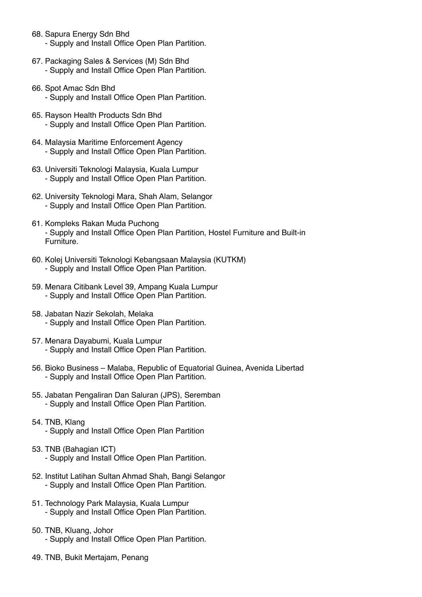- 68. Sapura Energy Sdn Bhd
	- Supply and Install Office Open Plan Partition.
- 67. Packaging Sales & Services (M) Sdn Bhd - Supply and Install Office Open Plan Partition.
- 66. Spot Amac Sdn Bhd
	- Supply and Install Office Open Plan Partition.
- 65. Rayson Health Products Sdn Bhd - Supply and Install Office Open Plan Partition.
- 64. Malaysia Maritime Enforcement Agency - Supply and Install Office Open Plan Partition.
- 63. Universiti Teknologi Malaysia, Kuala Lumpur - Supply and Install Office Open Plan Partition.
- 62. University Teknologi Mara, Shah Alam, Selangor - Supply and Install Office Open Plan Partition.
- 61. Kompleks Rakan Muda Puchong - Supply and Install Office Open Plan Partition, Hostel Furniture and Built-in Furniture.
- 60. Kolej Universiti Teknologi Kebangsaan Malaysia (KUTKM) - Supply and Install Office Open Plan Partition.
- 59. Menara Citibank Level 39, Ampang Kuala Lumpur - Supply and Install Office Open Plan Partition.
- 58. Jabatan Nazir Sekolah, Melaka - Supply and Install Office Open Plan Partition.
- 57. Menara Dayabumi, Kuala Lumpur - Supply and Install Office Open Plan Partition.
- 56. Bioko Business Malaba, Republic of Equatorial Guinea, Avenida Libertad - Supply and Install Office Open Plan Partition.
- 55. Jabatan Pengaliran Dan Saluran (JPS), Seremban - Supply and Install Office Open Plan Partition.
- 54. TNB, Klang - Supply and Install Office Open Plan Partition
- 53. TNB (Bahagian ICT)
	- Supply and Install Office Open Plan Partition.
- 52. Institut Latihan Sultan Ahmad Shah, Bangi Selangor - Supply and Install Office Open Plan Partition.
- 51. Technology Park Malaysia, Kuala Lumpur - Supply and Install Office Open Plan Partition.
- 50. TNB, Kluang, Johor - Supply and Install Office Open Plan Partition.
- 49. TNB, Bukit Mertajam, Penang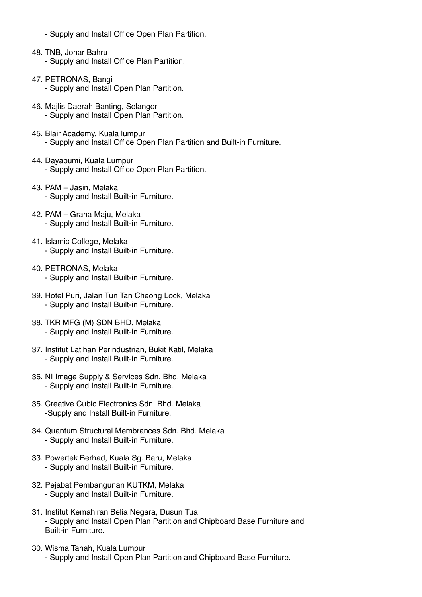- Supply and Install Office Open Plan Partition.
- 48. TNB, Johar Bahru - Supply and Install Office Plan Partition.
- 47. PETRONAS, Bangi - Supply and Install Open Plan Partition.
- 46. Majlis Daerah Banting, Selangor - Supply and Install Open Plan Partition.
- 45. Blair Academy, Kuala lumpur - Supply and Install Office Open Plan Partition and Built-in Furniture.
- 44. Dayabumi, Kuala Lumpur - Supply and Install Office Open Plan Partition.
- 43. PAM Jasin, Melaka - Supply and Install Built-in Furniture.
- 42. PAM Graha Maju, Melaka - Supply and Install Built-in Furniture.
- 41. Islamic College, Melaka - Supply and Install Built-in Furniture.
- 40. PETRONAS, Melaka - Supply and Install Built-in Furniture.
- 39. Hotel Puri, Jalan Tun Tan Cheong Lock, Melaka - Supply and Install Built-in Furniture.
- 38. TKR MFG (M) SDN BHD, Melaka - Supply and Install Built-in Furniture.
- 37. Institut Latihan Perindustrian, Bukit Katil, Melaka - Supply and Install Built-in Furniture.
- 36. NI Image Supply & Services Sdn. Bhd. Melaka - Supply and Install Built-in Furniture.
- 35. Creative Cubic Electronics Sdn. Bhd. Melaka -Supply and Install Built-in Furniture.
- 34. Quantum Structural Membrances Sdn. Bhd. Melaka - Supply and Install Built-in Furniture.
- 33. Powertek Berhad, Kuala Sg. Baru, Melaka - Supply and Install Built-in Furniture.
- 32. Pejabat Pembangunan KUTKM, Melaka - Supply and Install Built-in Furniture.
- 31. Institut Kemahiran Belia Negara, Dusun Tua - Supply and Install Open Plan Partition and Chipboard Base Furniture and Built-in Furniture.
- 30. Wisma Tanah, Kuala Lumpur - Supply and Install Open Plan Partition and Chipboard Base Furniture.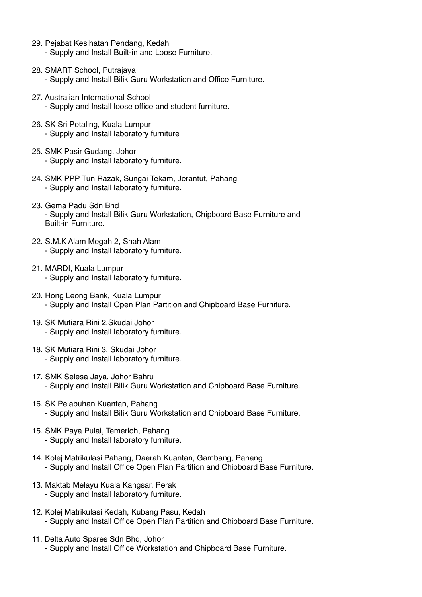- 29. Pejabat Kesihatan Pendang, Kedah - Supply and Install Built-in and Loose Furniture.
- 28. SMART School, Putrajaya - Supply and Install Bilik Guru Workstation and Office Furniture.
- 27. Australian International School - Supply and Install loose office and student furniture.
- 26. SK Sri Petaling, Kuala Lumpur - Supply and Install laboratory furniture
- 25. SMK Pasir Gudang, Johor - Supply and Install laboratory furniture.
- 24. SMK PPP Tun Razak, Sungai Tekam, Jerantut, Pahang - Supply and Install laboratory furniture.
- 23. Gema Padu Sdn Bhd - Supply and Install Bilik Guru Workstation, Chipboard Base Furniture and Built-in Furniture.
- 22. S.M.K Alam Megah 2, Shah Alam - Supply and Install laboratory furniture.
- 21. MARDI, Kuala Lumpur - Supply and Install laboratory furniture.
- 20. Hong Leong Bank, Kuala Lumpur - Supply and Install Open Plan Partition and Chipboard Base Furniture.
- 19. SK Mutiara Rini 2,Skudai Johor - Supply and Install laboratory furniture.
- 18. SK Mutiara Rini 3, Skudai Johor - Supply and Install laboratory furniture.
- 17. SMK Selesa Jaya, Johor Bahru - Supply and Install Bilik Guru Workstation and Chipboard Base Furniture.
- 16. SK Pelabuhan Kuantan, Pahang - Supply and Install Bilik Guru Workstation and Chipboard Base Furniture.
- 15. SMK Paya Pulai, Temerloh, Pahang - Supply and Install laboratory furniture.
- 14. Kolej Matrikulasi Pahang, Daerah Kuantan, Gambang, Pahang - Supply and Install Office Open Plan Partition and Chipboard Base Furniture.
- 13. Maktab Melayu Kuala Kangsar, Perak - Supply and Install laboratory furniture.
- 12. Kolej Matrikulasi Kedah, Kubang Pasu, Kedah - Supply and Install Office Open Plan Partition and Chipboard Base Furniture.
- 11. Delta Auto Spares Sdn Bhd, Johor - Supply and Install Office Workstation and Chipboard Base Furniture.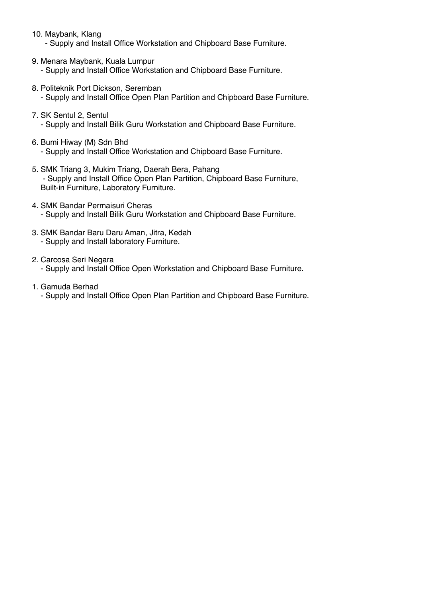10. Maybank, Klang

- Supply and Install Office Workstation and Chipboard Base Furniture.

- 9. Menara Maybank, Kuala Lumpur - Supply and Install Office Workstation and Chipboard Base Furniture.
- 8. Politeknik Port Dickson, Seremban - Supply and Install Office Open Plan Partition and Chipboard Base Furniture.
- 7. SK Sentul 2, Sentul - Supply and Install Bilik Guru Workstation and Chipboard Base Furniture.
- 6. Bumi Hiway (M) Sdn Bhd - Supply and Install Office Workstation and Chipboard Base Furniture.
- 5. SMK Triang 3, Mukim Triang, Daerah Bera, Pahang - Supply and Install Office Open Plan Partition, Chipboard Base Furniture, Built-in Furniture, Laboratory Furniture.
- 4. SMK Bandar Permaisuri Cheras - Supply and Install Bilik Guru Workstation and Chipboard Base Furniture.
- 3. SMK Bandar Baru Daru Aman, Jitra, Kedah - Supply and Install laboratory Furniture.
- 2. Carcosa Seri Negara - Supply and Install Office Open Workstation and Chipboard Base Furniture.
- 1. Gamuda Berhad - Supply and Install Office Open Plan Partition and Chipboard Base Furniture.